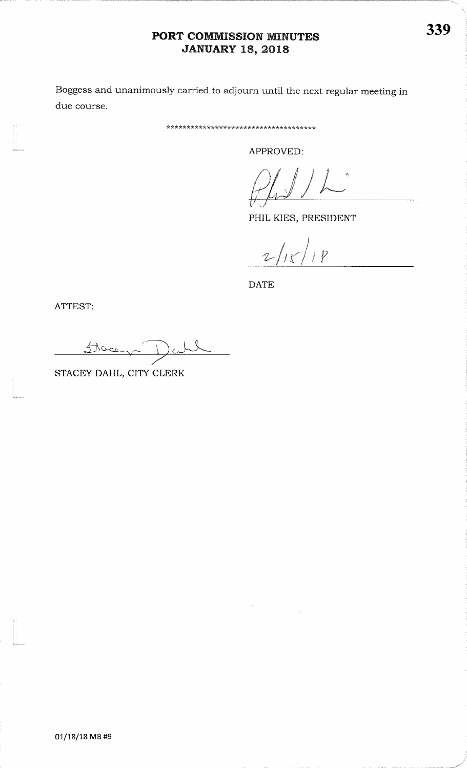### PORT COMMISSION MINUTES **JANUARY 18, 2018**

Boggess and unanimously carried to adjourn until the next regular meeting in due course.

\*\*\*\*\*\*\*\*\*\*\*\*\*\*\*\*\*\*\*\*\*\*\*\*\*\*\*\*\*\*\*\*\*\*\*\*\*

APPROVED:

PHIL KIES, PRESIDENT

 $2/15/18$ 

**DATE** 

ATTEST:

Flace

STACEY DAHL, CITY CLERK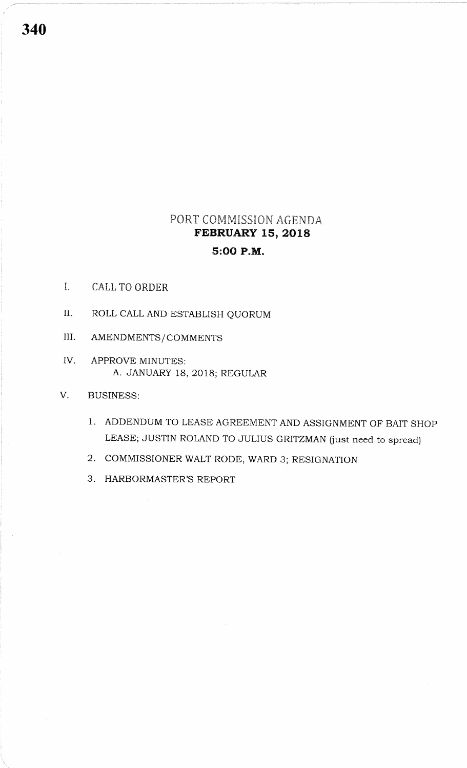# PORT COMMISSION AGENDA FEBRUARY 15, 2018 5:OO P.M.

- I. CALL TO ORDER
- II. ROLL CALL AND ESTABLISH QUORUM
- III. AMENDMENTS/COMMENTS
- IV APPROVE MINUTES: A. JANUARY 18, 2018; REGULAR
- V. BUSINESS:
	- 1. ADDENDUM TO LEASE AGREEMENT AND ASSIGNMENT OF BAIT SHOP LEASE; JUSTIN ROLAND TO JULIUS GRITZMAN (just need to spread)
	- 2. COMMISSIONER WALT RODE, WARD 3; RESIGNATION
	- 3. HARBORMASTER'S REPORT

340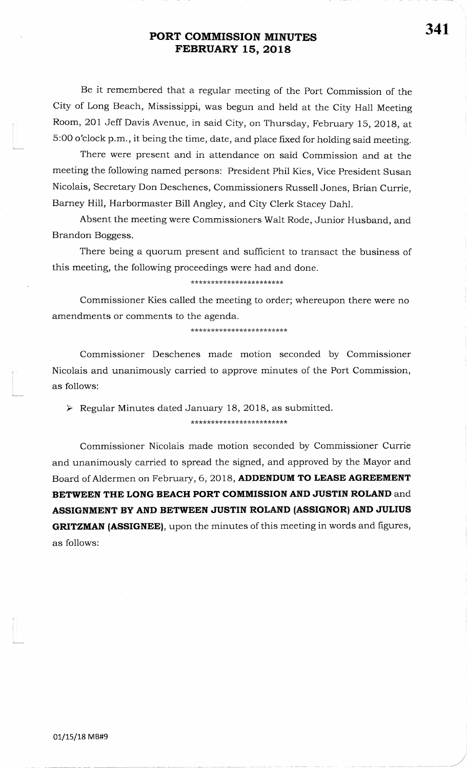Be it remembered that a regular meeting of the Port Commission of theCity of Long Beach, Mississippi, was begun and held at the City Hall MeetingRoom, 201 Jeff Davis Avenue, in said City, on Thursday, February 15, 2018, at 5:00 o'clock p.m., it being the time, date, and place fixed for holding said meeting.

There were present and in attendance on said Commission and at themeeting the following named persons: President Phil Kies, Vice President SusanNicolais, Secretary Don Deschenes, Commissioners Russell Jones, Brian Currie,Barney Hill, Harbormaster Bill Angley, and City Clerk Stacey Dahl.

Absent the meeting were Commissioners Walt Rode, Junior Husband, andBrandon Boggess.

There being a quorum present and sufficient to transact the business of this meeting, the following proceedings were had and done.

#### \*\*\*\*\*\*\*\*\*\*\*\*\*\*\*\*\*\*\*\*\*

Commissioner Kies called the meeting to order; whereupon there were noamendments or comments to the agenda.

\*\*\*\*\*\*\*\*\*\*\*\*\*\*\*\*\*\*\*\*\*\*\*\*

Commissioner Deschenes made motion seconded by CommissionerNicolais and unanimously carried to approve minutes of the Port Commission,as follows:

 $\triangleright$  Regular Minutes dated January 18, 2018, as submitted.

\*\*\*\*\*\*\*\*\*\*\*\*\*\*\*\*\*\*\*\*\*\*\*\*\*\*\*

Commissioner Nicolais made motion seconded by Commissioner Currieand unanimously carried to spread the signed, and approved by the Mayor andBoard of Aldermen on February, 6, 2018, ADDENDUM TO LEASE AGREEMENT BETWEEN THE LONG BEACH PORT COMMISSION AND JUSTIN ROLAND and ASSIGNMENT By AND BETWEEN JUSTTN ROLAND {ASSIGNORI AND JULIUSGRITZMAN (ASSIGNEE), upon the minutes of this meeting in words and figures, as follows:

f1

 $\frac{g}{f}$ 

t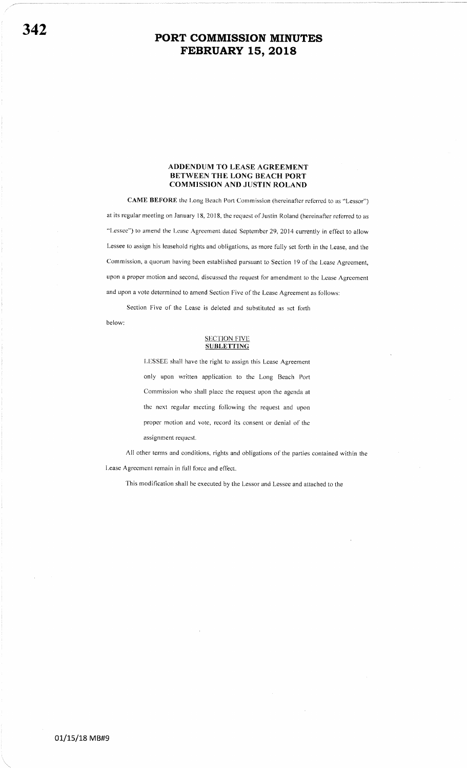#### ADDENDUM TO LEASE AGREEMBNT BETWEEN THE LONG BEACH PORT COMMISSION AND JUSTIN ROLAND

CAMB BEFORE the Long Beach Porl Commission (hereinafter referred to as "Lessor") at its regular meeting on January 18, 2018, the request of Justin Roland (hereinafter referred to as "Lessee") to amend the Lease Agreement dated September 29, 2014 currently in effect to allow Lessee to assign his leasehold rights and obligations, as more fully set forth in the Lease, and the Commission, a quorum having been established pursuant to Section 19 of the Lease Agreement, upon a proper motion and second, discussed the request for amendment to the Lease Agreement and upon a vote determined to amend Section Five of the Lease Agreement as follows:

Section Five of the Lease is deleted and substituted as set forth below:

#### **SECTION FIVE SUBLETTING**

I-ESSEE shall have the right to assign this Lease Agreement only upon written application to the Long Beach Port Commission who shall place the request upon the agenda at the next regular meeting following the request and upon proper motion and vote, record its consent or denial of the assignment request.

All other terms and conditions, rights and obligations of the parties contained within the I-ease Agreement remain in full force and effect.

This modification shall be executed by the Lessor and Lessee and attached to the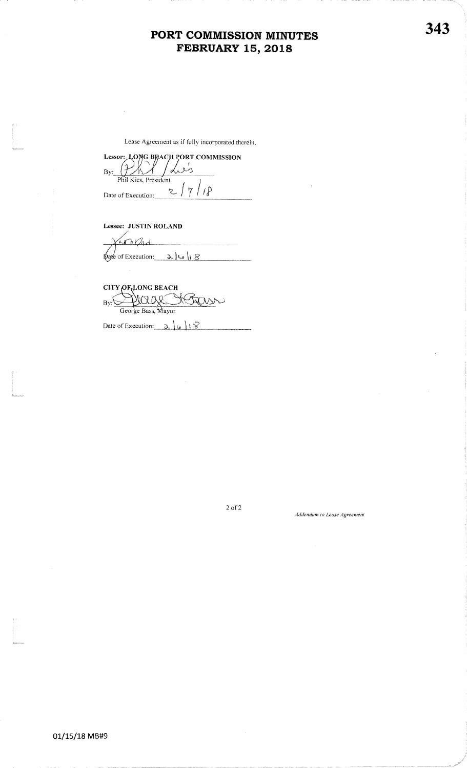Lease Agreement as if lully incorporated therein.

Lessor: LONG BRACH PORT COMMISSION

dies By:Phil Kies, President Phil Kies, President<br>Date of Execution:  $\frac{2}{\sqrt{7}}$   $\frac{1}{\sqrt{2}}$ 

Lessee: JUSTIN ROLAND

l<br>L<br>Antaranan

t<br>List<br>Karlson

t

Lorad  $\phi$ are of Execution:  $\alpha \log \alpha$ 

CITY OF LONG BEACH Bass,  $By: \searrow$ 

Date of

2 of2

#### Addendum to Lease Agreemen

343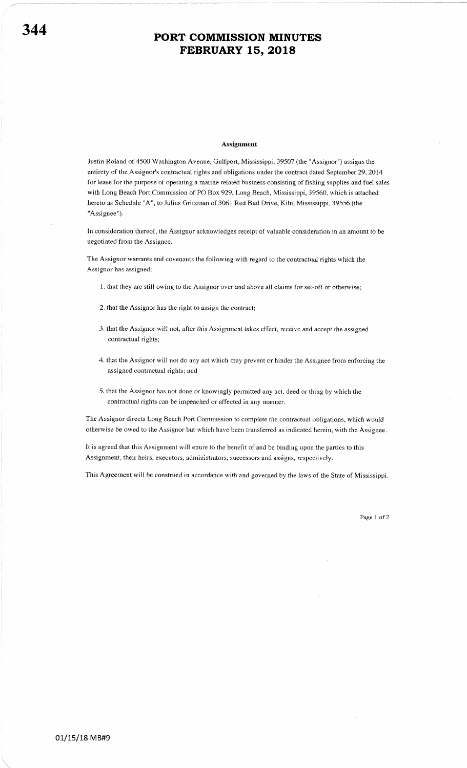#### **Assignment**

Justin Roland of 4500 Washington Aveuue, Gulfport, Mississippi,39507 (the "Assignor") assigns the entirety of the Assignor's contractual rights and obligations under the contract dated September 29, 2014 for lease for the purpose of operating a marine related business consisting of fishing supplies and fuel sales with Long Beach Port Commission of PO Box 929, Long Beach, Mississippi, 39560, which is attached hereto as Schedule "A", to Julius Gritzman of 3061 Red Bud Drive, Kiln, Mississippi, 39556 (the "Assignee").

In consideration thereof, the Assignor acknowledges receipt of valuable consideration in an amount to be negotiated from the Assignee.

The Assignor warrants and covenants the following with regard to the contractual rights which the Assignor has assigned:

- 1. that they are still owing to the Assignor over and above all claims for set-off or otherwise;
- 2. that the Assignor has the right to assign the contract;
- 3. that the Assignor will not, after this Assignment takes effect, receive and accept the assigned contractual rights;
- 4. that the Assignor will not do any act which may prevent or hinder the Assignee from enforcing the assigned contractual rights; and
- .5. that the Assignor has not done or knowingly permitted any act, deed or thing by which the contractual rights can be impeached or affected in any manner.

The Assignor directs Long Beach Port Commission to complete the contractual obligations, which would otherwise be owed to the Assignor but which have been transferred as indicated herein, with the Assignee.

It is agreed that this Assignment will enure to the benefit of and be binding upon the parties to this Assignment, their heirs, executors, administrators, successors and assigns, respectively.

This Agreement will be construed in accordance with and governed by the laws of the State of Mississippi.

Page 1 of 2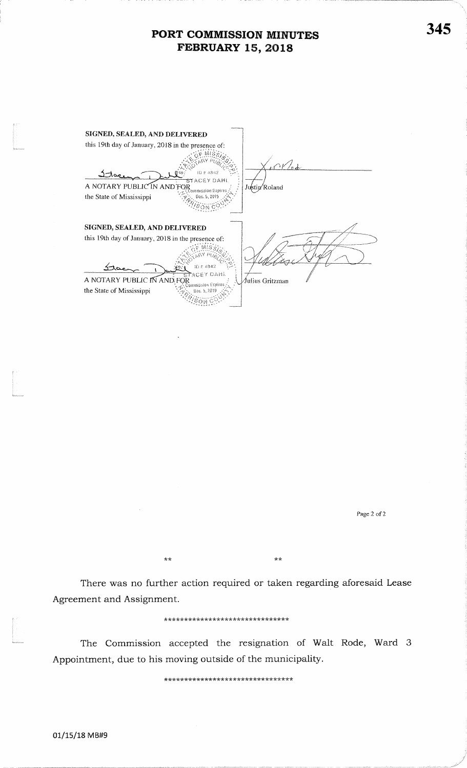| SIGNED, SEALED, AND DELIVERED                                                                                                        |                 |
|--------------------------------------------------------------------------------------------------------------------------------------|-----------------|
| this 19th day of January, 2018 in the presence of:                                                                                   |                 |
| ID # 4842<br><del>st</del> acey dahl<br>A NOTARY PUBLIC IN AND FOR<br>Commission Expires<br>the State of Mississippi<br>Dec. 5, 2019 | Justin Roland   |
| SIGNED, SEALED, AND DELIVERED                                                                                                        |                 |
| this 19th day of January, 2018 in the presence of:<br>10 # 4842                                                                      |                 |
| tacey dahl<br>A NOTARY PUBLIC IN AND FOR<br>ommission Expires                                                                        | Julius Gritzman |
| the State of Mississippi<br>Dec. 5, 2019                                                                                             |                 |

Page 2 of 2

There was no further action required or taken regarding aforesaid Lease Agreement and Assignment.

 $\star\,\star$ 

 $\star\star$ 

\*\*\*\*\*\*\*\*\*\*\*\*\*\*\*\*\*\*\*\*\*\*\*\*\*\*\*\*\*\*\*\*

The Commission accepted the resignation of Walt Rode, Ward 3 Appointment, due to his moving outside of the municipality.

\*\*\*\*\*\*\*\*\*\*\*\*\*\*\*\*\*\*\*\*\*\*\*\*\*\*\*\*\*\*\*\*\*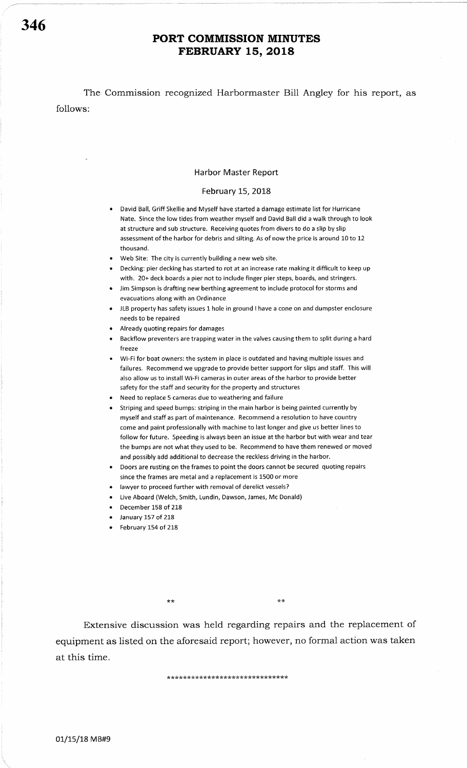The Commission recognized Harbormaster Bill Angley for his report, as follows:

#### Harbor Master Report

#### February 15, 2018

- David Ball, Griff Skellie and Myself have started a damage estimate list for Hurricane Nate. Since the low tides from weather myself and David Ball did a walk through to look at structure and sub structure. Receiving quotes from divers to do a slip by slip assessment of the harbor for debris and silting. As of now the price is around 10 to <sup>12</sup> thousand.
- Web Site: The city is currently building a new web site.
- **•** Decking: pier decking has started to rot at an increase rate making it difficult to keep up with. 20+ deck boards a pier not to include finger pier steps, boards, and stringers.
- . Jim Simpson is drafting new berthing agreement to include protocol for storms and evacuations along with an Ordinance
- JLB property has safety issues 1 hole in ground I have a cone on and dumpster enclosure needs to be repaired
- Already quoting repairs for damages
- Backflow preventers are trapping water in the valves causing them to split during a hard freeze
- Wi-Fi for boat owners: the system in place is outdated and having multiple issues and failures, Recommend we upgrade to provide better support for slips and staff. This will also allow us to install Wi-Fi cameras in outer areas of the harbor to provide better safety for the staff and security for the property and structures
- Reed to replace 5 cameras due to weathering and failure
- Striping and speed bumps: striping in the main harbor is being painted currently by myself and staff as part of maintenance. Recommend a resolution to have country come and paint professionally with machine to last longer and give us better lines to follow for future. Speeding is always been an issue at the harbor but with wear and tear the bumps are not what they used to be. Recommend to have them renewed or moved and possibly add additional to decrease the reckless driving in the harbor.
- Doors are rusting on the frames to point the doors cannot be secured quoting repairs since the frames are metal and a replacement is 1500 or more
- lawyer to proceed further with removal of derelict vessels?
- Live Aboard (Welch, Smith, Lundin, Dawson, James, Mc Donald)
- December 158 of 218
- January 157 of 218
- February 154 of 218

\*\*

Extensive discussion was held regarding repairs and the replacement of equipment as listed on the aforesaid report; however, no formal action was taken at this time.

tr Jr\*\*\*\*r(r(rh\*\*\*\*\*lr\*\*\*\*\* \*\* \* \*\*\* Jr\*\*\*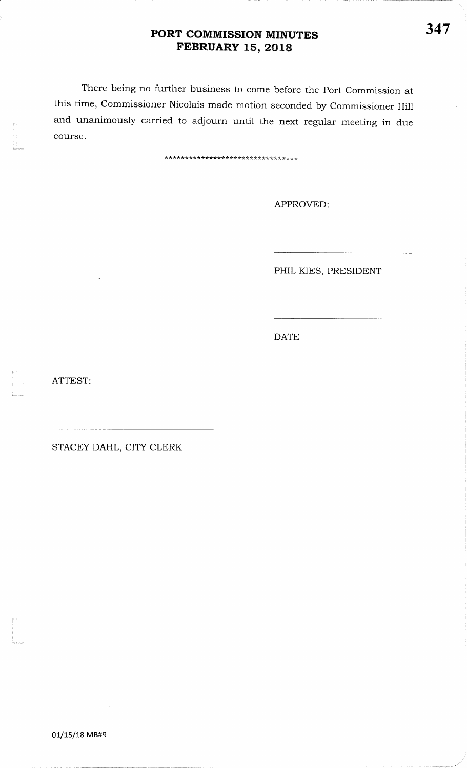There being no further business to come before the Port Commission at this time, Commissioner Nicolais made motion seconded by Commissioner Hill and unanimously carried to adjourn until the next regular meeting in duecourse.

\* \* \*\* \* \* \* \* \*\* \* \* \* \* \* \*

APPROVED

PHIL KIES, PRESIDENT

DATE

ATTEST:

t

t<br>|<br>|<br>|<br>|

t<br>|-<br>|-

STACEY DAHL, CITY CLERK